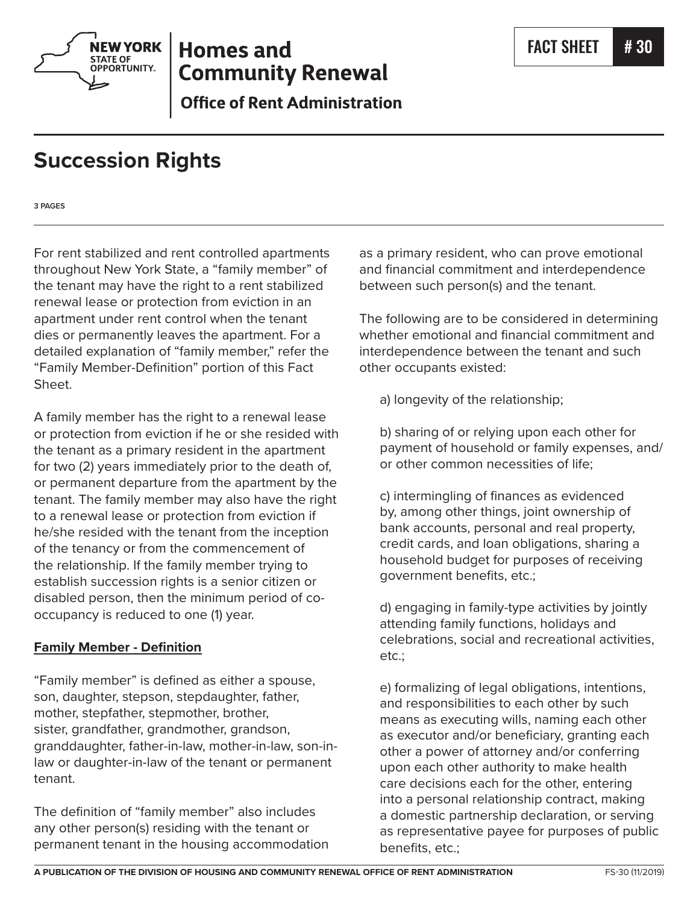

# **Homes and Community Renewal**

**Office of Rent Administration** 

# **Succession Rights**

**3 PAGES**

For rent stabilized and rent controlled apartments throughout New York State, a "family member" of the tenant may have the right to a rent stabilized renewal lease or protection from eviction in an apartment under rent control when the tenant dies or permanently leaves the apartment. For a detailed explanation of "family member," refer the "Family Member-Definition" portion of this Fact Sheet.

A family member has the right to a renewal lease or protection from eviction if he or she resided with the tenant as a primary resident in the apartment for two (2) years immediately prior to the death of, or permanent departure from the apartment by the tenant. The family member may also have the right to a renewal lease or protection from eviction if he/she resided with the tenant from the inception of the tenancy or from the commencement of the relationship. If the family member trying to establish succession rights is a senior citizen or disabled person, then the minimum period of cooccupancy is reduced to one (1) year.

## **Family Member - Definition**

"Family member" is defined as either a spouse, son, daughter, stepson, stepdaughter, father, mother, stepfather, stepmother, brother, sister, grandfather, grandmother, grandson, granddaughter, father-in-law, mother-in-law, son-inlaw or daughter-in-law of the tenant or permanent tenant.

The definition of "family member" also includes any other person(s) residing with the tenant or permanent tenant in the housing accommodation as a primary resident, who can prove emotional and financial commitment and interdependence between such person(s) and the tenant.

The following are to be considered in determining whether emotional and financial commitment and interdependence between the tenant and such other occupants existed:

a) longevity of the relationship;

b) sharing of or relying upon each other for payment of household or family expenses, and/ or other common necessities of life;

c) intermingling of finances as evidenced by, among other things, joint ownership of bank accounts, personal and real property, credit cards, and loan obligations, sharing a household budget for purposes of receiving government benefits, etc.;

d) engaging in family-type activities by jointly attending family functions, holidays and celebrations, social and recreational activities, etc.;

e) formalizing of legal obligations, intentions, and responsibilities to each other by such means as executing wills, naming each other as executor and/or beneficiary, granting each other a power of attorney and/or conferring upon each other authority to make health care decisions each for the other, entering into a personal relationship contract, making a domestic partnership declaration, or serving as representative payee for purposes of public benefits, etc.;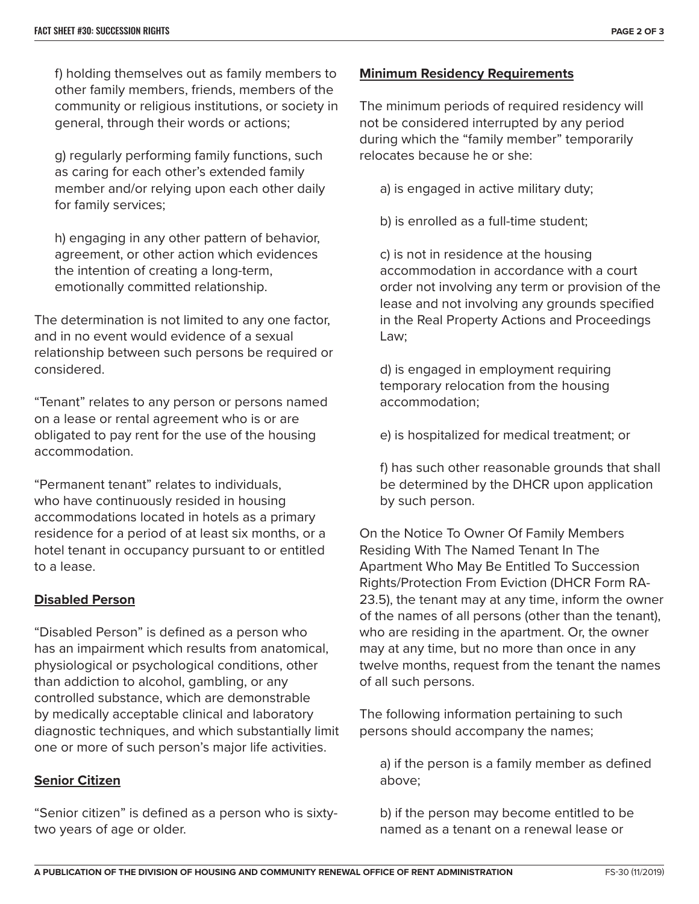f) holding themselves out as family members to other family members, friends, members of the community or religious institutions, or society in general, through their words or actions;

g) regularly performing family functions, such as caring for each other's extended family member and/or relying upon each other daily for family services;

h) engaging in any other pattern of behavior, agreement, or other action which evidences the intention of creating a long-term, emotionally committed relationship.

The determination is not limited to any one factor, and in no event would evidence of a sexual relationship between such persons be required or considered.

"Tenant" relates to any person or persons named on a lease or rental agreement who is or are obligated to pay rent for the use of the housing accommodation.

"Permanent tenant" relates to individuals, who have continuously resided in housing accommodations located in hotels as a primary residence for a period of at least six months, or a hotel tenant in occupancy pursuant to or entitled to a lease.

### **Disabled Person**

"Disabled Person" is defined as a person who has an impairment which results from anatomical, physiological or psychological conditions, other than addiction to alcohol, gambling, or any controlled substance, which are demonstrable by medically acceptable clinical and laboratory diagnostic techniques, and which substantially limit one or more of such person's major life activities.

### **Senior Citizen**

"Senior citizen" is defined as a person who is sixtytwo years of age or older.

### **Minimum Residency Requirements**

The minimum periods of required residency will not be considered interrupted by any period during which the "family member" temporarily relocates because he or she:

a) is engaged in active military duty;

b) is enrolled as a full-time student;

c) is not in residence at the housing accommodation in accordance with a court order not involving any term or provision of the lease and not involving any grounds specified in the Real Property Actions and Proceedings Law;

d) is engaged in employment requiring temporary relocation from the housing accommodation;

e) is hospitalized for medical treatment; or

f) has such other reasonable grounds that shall be determined by the DHCR upon application by such person.

On the Notice To Owner Of Family Members Residing With The Named Tenant In The Apartment Who May Be Entitled To Succession Rights/Protection From Eviction (DHCR Form RA-23.5), the tenant may at any time, inform the owner of the names of all persons (other than the tenant), who are residing in the apartment. Or, the owner may at any time, but no more than once in any twelve months, request from the tenant the names of all such persons.

The following information pertaining to such persons should accompany the names;

a) if the person is a family member as defined above;

b) if the person may become entitled to be named as a tenant on a renewal lease or